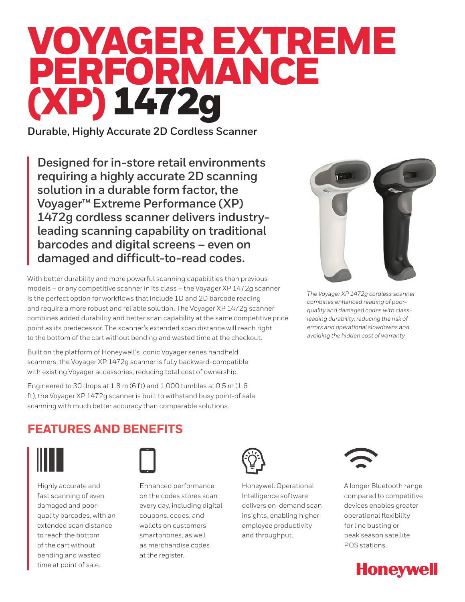# VOYAGER EXTREME PERFORMANCE (XP) 1472g

**Durable, Highly Accurate 2D Cordless Scanner**

**Designed for in-store retail environments requiring a highly accurate 2D scanning solution in a durable form factor, the Voyager™ Extreme Performance (XP) 1472g cordless scanner delivers industryleading scanning capability on traditional barcodes and digital screens – even on damaged and difficult-to-read codes.**

With better durability and more powerful scanning capabilities than previous models – or any competitive scanner in its class – the Voyager XP 1472g scanner is the perfect option for workflows that include 1D and 2D barcode reading and require a more robust and reliable solution. The Voyager XP 1472g scanner combines added durability and better scan capability at the same competitive price point as its predecessor. The scanner's extended scan distance will reach right to the bottom of the cart without bending and wasted time at the checkout.

Built on the platform of Honeywell's iconic Voyager series handheld scanners, the Voyager XP 1472g scanner is fully backward-compatible with existing Voyager accessories, reducing total cost of ownership.

Engineered to 30 drops at 1.8 m (6 ft) and 1,000 tumbles at 0.5 m (1.6 ft), the Voyager XP 1472g scanner is built to withstand busy point-of sale scanning with much better accuracy than comparable solutions.



*The Voyager XP 1472g cordless scanner combines enhanced reading of poorquality and damaged codes with classleading durability, reducing the risk of errors and operational slowdowns and avoiding the hidden cost of warranty.*

## **FEATURES AND BENEFITS**



Highly accurate and fast scanning of even damaged and poorquality barcodes, with an extended scan distance to reach the bottom of the cart without bending and wasted time at point of sale.



Enhanced performance on the codes stores scan every day, including digital coupons, codes, and wallets on customers' smartphones, as well as merchandise codes at the register.



Honeywell Operational Intelligence software delivers on-demand scan insights, enabling higher employee productivity and throughput.



A longer Bluetooth range compared to competitive devices enables greater operational flexibility for line busting or peak season satellite POS stations.